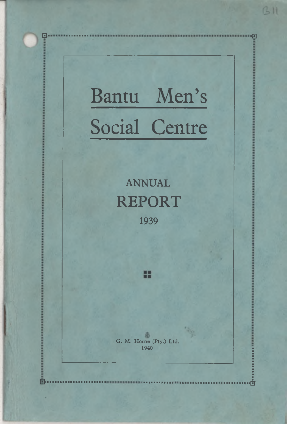# Bantu Men's Social Centre

I l l l l l l l l l l l l l l 0"' -a

**ANNUAL REPORT** 1939

壺 G. M. Home (Pty.) Ltd. 1940

ш

1...........111111111111110

E

 $GII$ 

ii jimaanimmaanaanimmaa maanaanimmaa maanaanimmaa maanaanimmaa maanaanimmaa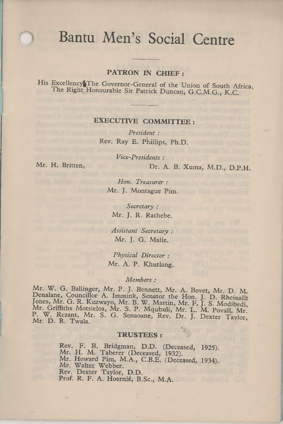# Bantu Men's Social Centre

#### **PATRON IN CHIEF:**

His Excellency|The Governor-General of the Union of South Africa, The Right Honourable Sir Patrick Duncan, G.C.M.G., K.C.

#### **EXECUTIVE COMMITTEE:**

*President :* Rev. Ray E. Phillips, Ph.D.

*Vice-Presidents :* Mr. H. Britten, Dr. A. B. Xuma, M.D., D.P.H.

*Hon. Treasurer :* Mr. J. Montague Pim.

> *Secretary :* Mr. J. R. Rathebe.

*Assistant Secretary :* Mr. J. G. Malie.

*Physical Director :* Mr. A. P. Khutlang.

*Members :*

Mr. W. G. Ballinger, Mr. P. J. Bennett, Mr. A. Bovet, Mr. D. M. Denalane, Councillor A. Immink, Senator the Hon. J. D. Rheinallt<br>Jones, Mr. G. R. Kuzwayo, Mr. B. W. Martin, Mr. F. J. S. Modibedi,<br>Mr. Griffiths Motsieloa, Mr. S. P. Mqubuli, Mr. L. M. Povall, Mr. P. W. Rezant, Mr. S. G. Senaoane, Rev. Dr. J. Dexter Taylor, Mr. D. R. Twala.

#### **TRUSTEES:**

Rev. F. B. Bridgman, D.D. (Deceased, 1925).<br>Mr. H. M. Taberer (Deceased, 1932). Mr. Howard Pim, M.A., C.B.E. (Deceased, 1934). Mr. Walter Webber. Rev. Dexter Taylor, D.D. Prof. R. F. A. Hoernle, B.Sc., M.A.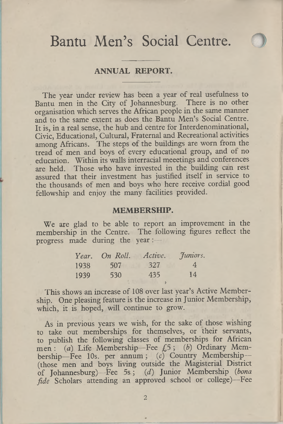# Bantu Men's Social Centre.

#### **ANNUAL REPORT.**

The year under review has been a year of real usefulness to Bantu men in the City of Johannesburg. There is no other organisation which serves the African people in the same manner and to the same extent as does the Bantu Men's Social Centre. It is, in a real sense, the hub and centre for Interdenominational, Civic, Educational, Cultural, Fraternal and Recreational activities among Africans. The steps of the buildings are worn from the tread of men and boys of every educational group, and of no education. Within its walls interracial meeetings and conferences are held. Those who have invested in the building can rest assured that their investment has justified itself in service to the thousands of men and boys who here receive cordial good fellowship and enjoy the many facilities provided.

#### **MEMBERSHIP.**

We are glad to be able to report an improvement in the membership in the Centre. The following figures reflect the progress made during the year:—

| Year. | On Roll. | Active. | Juniors. |
|-------|----------|---------|----------|
| 1938  | 507      | 327     | 4        |
| 1939  | 530      | 435     | 14       |
|       |          |         |          |

This shows an increase of 108 over last year's Active Membership. One pleasing feature is the increase in Junior Membership, which, it is hoped, will continue to grow.

As in previous years we wish, for the sake of those wishing to take out memberships for themselves, or their servants, to publish the following classes of memberships for African men : (a) Life Membership- Fee *£5* ; (*b*) Ordinary Membership-Fee 10s. per annum; (c) Country Membership-(those men and boys living outside the Magisterial District of Johannesburg)—Fee 5 s; *(d)* Junior Membership *(bona fide* Scholars attending an approved school or college)—Fee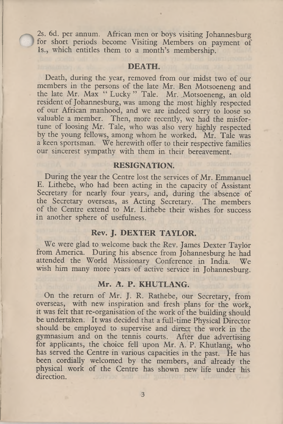2s. 6d. per annum. African men or boys visiting Johannesburg for short periods become Visiting Members on payment of Is., which entitles them to a month's membership.

#### **DEATH.**

Death, during the year, removed from our midst two of our members in the persons of the late Mr. Ben Motsoeneng and the late Mr. Max " Lucky " Tale. Mr. Motsoeneng, an old resident of Johannesburg, was among the most highly respected of our African manhood, and we are indeed sorry to loose so valuable a member. Then, more recently, we had the misfortune of loosing Mr. Tale, who was also very highly respected by the young fellows, among whom he worked. Mr. Tale was a keen sportsman. We herewith offer to their respective families our sincerest sympathy with them in their bereavement.

#### **RESIGNATION.**

During the year the Centre lost the services of Mr. Emmanuel E. Lithebe, who had been acting in the capacity of Assistant Secretary for nearly four years, and, during the absence of the Secretary overseas, as Acting Secretary. The members of the Centre extend to Mr. Lithebe their wishes for success in another sphere of usefulness.

#### **Rev. J. DEXTER TAYLOR.**

We were glad to welcome back the Rev. James Dexter Taylor from America. During his absence from Johannesburg he had attended the World Missionary Conference in India. We wish him many more years of active service in Johannesburg.

#### **Mr. A. P. KHUTLANG.**

On the return of Mr. J. R. Rathebe, our Secretary, from overseas, with new inspiration and fresh plans for the work, it was felt that re-organisation of the work of the building should be undertaken. It was decided that a full-time Physical Director should be employed to supervise and direct the work in the gymnasium and on the tennis courts. After due advertising for applicants, the choice fell upon Mr. A. P. Khutlang, who has served the Centre in various capacities in the past. He has been cordially welcomed by the members, and already the physical work of the Centre has shown new life under his direction.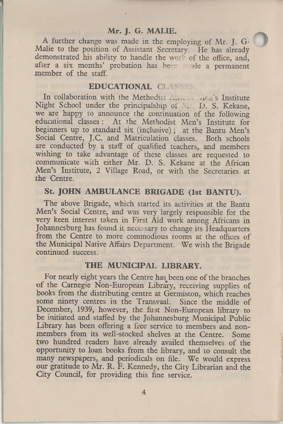#### **Mr. J. G. MALIE.**

1

A further change was made in the employing of Mr. J. G-Malie to the position of Assistant Secretary. He has already demonstrated his ability to handle the work of the office, and, after a six months' probation has been the a permanent member of the staff.

#### **EDUCATIONAL CLASS**

In collaboration with the Methodist .... . vicu's Institute Night School under the principalship of . . . D. S. Kekane, we are happy to announce the continuation of the following educational classes : At the Methodist Men's Institute for beginners up to standard six (inclusive); at the Bantu Men's Social Centre, J.C. and Matriculation classes. Both schools are conducted by a staff of qualified teachers, and members wishing to take advantage of these classes are requested to communicate with either Mr. D. S. Kekane at the African Men's Institute, 2 Village Road, or with the Secretaries at the Centre.

#### **St. JOHN AMBULANCE BRIGADE (1st BANTU).**

The above Brigade, which started its activities at the Bantu Men's Social Centre, and was very largely responsible for the very keen interest taken in First Aid work among Africans in Johannesburg has found it necessary to change its Headquarters from the Centre to more commodious rooms at the offices of the Municipal Native Affairs Department. We wish the Brigade continued success.

#### **THE MUNICIPAL LIBRARY.**

For nearly eight years the Centre has been one of the branches of the Carnegie Non-European Library, receiving supplies of books from the distributing centre at Germiston, which reaches some ninety centres in the Transvaal. Since the middle of December, 1939, however, the fiist Non-European library to be initiated and staffed by the Johannesburg Municipal Public Library has been offering a free service to members and nonmembers from its well-stocked shelves at the Centre. Some two hundred readers have already availed themselves of the opportunity to loan books from the library, and to consult the many newspapers, and periodicals on file. We would express our gratitude to Mr. R. F. Kennedy, the City Librarian and the City Council, for providing this fine service.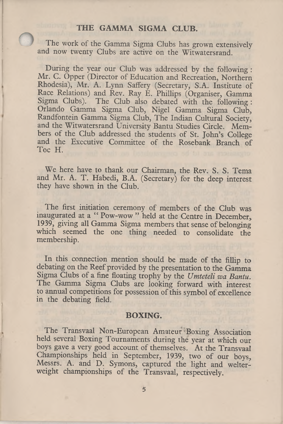#### **THE GAMMA SIGMA CLUB.**

The work of the Gamma Sigma Clubs has grown extensively and now twenty Clubs are active on the Witwatersrand.

During the year our Club was addressed by the following : Mr. C. Opper (Director of Education and Recreation, Northern Rhodesia), Mr. A. Lynn Saffery (Secretary, S.A. Institute of Race Relations) and Rev. Ray E. Phillips (Organiser, Gamma Sigma Clubs). The Club also debated with the following : Orlando Gamma Sigma Club, Nigel Gamma Sigma Club, Randfontein Gamma Sigma Club, The Indian Cultural Society, and the Witwatersrand University Bantu Studies Circle. Members of the Club addressed the students of St. John's College and the Executive Committee of the Rosebank Branch of Toe H.

We here have to thank our Chairman, the Rev. S. S. Tema and Mr. A. T. Habedi, B.A. (Secretary) for the deep interest they have shown in the Club.

The first initiation ceremony of members of the Club was inaugurated at a " Pow-wow " held at the Centre in December, 1939, giving all Gamma Sigma members that sense of belonging which seemed the one thing needed to consolidate the membership.

In this connection mention should be made of the fillip to debating on the Reef provided by the presentation to the Gamma Sigma Clubs of a fine floating trophy by the *Umteteli wa Bantu.* The Gamma Sigma Clubs are looking forward with interest to annual competitions for possession of this symbol of excellence in the debating field.

#### **BOXING.**

The Transvaal Non-European Amateur Boxing Association held several Boxing Tournaments during the year at which our boys gave a very good account of themselves. At the Transvaal Championships held in September, 1939, two of our boys, Messrs. A. and D. Symons, captured the light and welterweight championships of the Transvaal, respectively.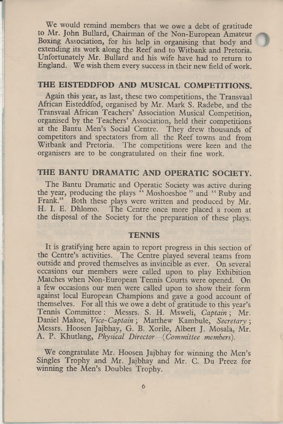We would remind members that we owe a debt of gratitude to Mr. John Bullard, Chairman of the Non-European Amateur Boxing Association, for his help in organising that body and extending its work along the Reef and to Witbank and Pretoria. Unfortunately Mr. Bullard and his wife have had to return to England. We wish them every success in their new field of work.

#### **THE EISTEDDFOD AND MUSICAL COMPETITIONS.**

Again this year, as last, these two competitions, the Transvaal African Eisteddfod, organised by Mr. Mark S. Radebe, and the Transvaal African Teachers' Association Musical Competition, organised by the Teachers' Association, held their competitions at the Bantu Men's Social Centre. They drew thousands of competitors and spectators from all the Reef towns and from Witbank and Pretoria. The competitions were keen and the organisers are to be congratulated on their fine work.

### **THE BANTU DRAMATIC AND OPERATIC SOCIETY.**

The Bantu Dramatic and Operatic Society was active during the year, producing the plays " Moshoeshoe " and " Ruby and Frank." Both these plays were written and produced by Mr. H. I. E. Dhlomo. The Centre once more placed a room at the disposal of the Society for the preparation of these plays.

#### **TENNIS**

It is gratifying here again to report progress in this section of the Centre's activities. The Centre played several teams from outside and proved themselves as invincible as ever. On several occasions our members were called upon to play Exhibition Matches when Non-European Tennis Courts were opened. On a few occasions our men were called upon to show their form against local European Champions and gave a good account of themselves. For all this we owe a debt of gratitude to this year's Tennis Committee: Messrs. S. H. Msweli, *Captain*; Mr. Daniel Makoe, *Vice-Captain* ; Matthew Kambule, *Secretary ;* Messrs. Hoosen Jajbhay, G. B. Xorile, Albert J. Mosala, Mr. A. P. Khutlang, *Physical Director—(Committee members').*

We congratulate Mr. Hoosen Jajbhay for winning the Men's Singles Trophy and Mr. Jajbhay and Mr. C. Du Preez for winning the Men's Doubles Trophy.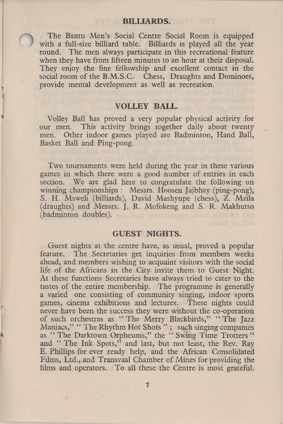#### **BILLIARDS.**

The Bantu Men's Social Centre Social Room is equipped with a full-size billiard table. Billiards is played all the year round. The men always participate in this recreational feature when they have from fifteen minutes to an hour at their disposal. They enjoy the fine fellowship and excellent contact in the social room of the B.M.S.C. Chess, Draughts and Dominoes, provide mental development as well as recreation.

#### **VOLLEY BALL.**

Volley Ball has proved a very popular physical activity for This activity brings together daily about twenty men. Other indoor games played are Badminton, Hand Ball, Basket Ball and Ping-pong.

Two tournaments were held during the year in these various games in which there were a good number of entries in each section. We are glad here to congratulate the following on winning championships : Messrs. Hoosen Jajbhay (ping-pong), S. H. Msweli (billiards), David Mashyupe (chess), Z. Mzila (draughts) and Messrs. J. R. Mofokeng and S. R. Makhutso (badminton doubles).

#### **GUEST NIGHTS.**

Guest nights at the centre have, as usual, proved a popular feature. The Secretaries get inquiries from members weeks ahead, and members wishing to acquaint visitors with the social life of the Africans in the City invite them to Guest Night. At these functions Secretaries have always tried to cater to the tastes of the entire membership. The programme is generally a varied one consisting of community singing, indoor sports games, cinema exhibitions and lectures. These nights could never have been the success they were without the co-operation of such orchestras as " The Merry Blackbirds," " The Jazz Maniacs," " The Rhythm Hot Shots " ; such singing companies as " The Darktown Orpheums," the " Swing Time Trotters " and " The Ink Spots," and last, but not least, the Rev. Ray E. Phillips for ever ready help, and the African Consolidated Films, Ltd., and Transvaal Chamber of Mines for providing the films and operators. To all these the Centre is most grateful.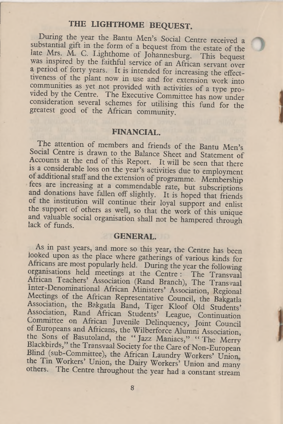## **THE LIGHTHOME BEQUEST.**

During the year the Bantu Men's Social Centre received a substantial gift in the form of a bequest from the estate of the late Mrs. M. C. Lighthome of Johannesburg. This bequest was inspired by the faithful service of an African servant over a period of forty years. It is intended for increasing the effectiveness of the plant now in use and for extension work into communities as yet not provided with activities of a type provided by the Centre. The Executive Committee has now under consideration several schemes for utilising this fund for the greatest good of the African community.

#### **FINANCIAL.**

The attention of members and friends of the Bantu Men's Social Centre is drawn to the Balance Sheet and Statement of Accounts at the end of this Report. It will be seen that there ts a considerable loss on the year's activities due to employment of additional staff and the extension of programme. Membership fees are increasing at a commendable rate, but subscriptions and donations have fallen off slightly. It is hoped that friends or the institution will continue their loyal support and enlist the support of others as well, so that the work of this unique and valuable social organisation shall not be hampered through lack of funds.

#### **GENERAL.**

As in past years, and more so this year, the Centre has been looked upon as the place where gatherings of various kinds for Africans are most popularly held. During the year the following organisations held meetings at the Centre : The Transvaal African Teachers' Association (Rand Branch), The Transvaal lnter-Denommational African Ministers' Association, Regional Meetings of the African Representative Council, the Bakgatla Association, the Bakgatla Band, Tiger Kloof Old Students' Association, Rand African Students' League, Continuation Committee on African Juvenile Delinquency, Joint Council of Europeans and Africans, the Wilberforce Alumni Association, the Sons of Basutoland, the "Jazz Maniacs," "The Merry Blackbirds," the Transvaal Society for the Care of Non-European Blind (sub-Committee), the African Laundry Workers' Union the Tin Workers' Union, the Dairy Workers' Union and many others. The Centre throughout the year had a constant stream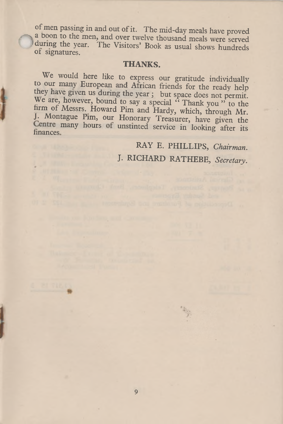of men passing in and out of it. The mid-day meals have proved a boon to the men, and over twelve thousand meals were served during the year. The Visitors' Book as usual shows hundreds or signatures.

#### **THANKS.**

We would here like to express our gratitude individually to our many European and African friends for the ready help they have given us during the year; but space does not permit. We are, however, bound to say a special "Thank you" to the firm of Messrs. Howard Pim and Hardy, which, through Mr. J. Montague Pim, our Honorary Treasurer, have given the Centre many hours of unstinted service in looking after its

RAY E. PHILLIPS, *Chairman.* J. RICHARD RATHEBE, *Secretary.*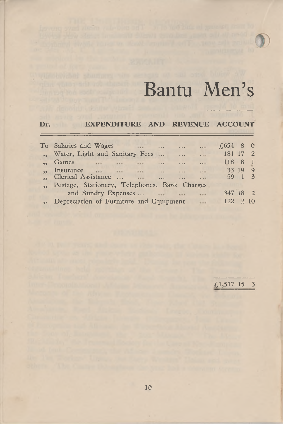

# Bantu Men's

#### **Dr. EXPENDITURE AND REVENUE ACCOUNT**

| To Salaries and Wages<br><b>Case of the Contract of the Contract of the Contract of the Contract of the Contract of the Contract of the Contract of the Contract of the Contract of The Contract of The Contract of The Contract of The Contract of The C</b><br>$\cdots$<br><b>CONTRACTOR</b> | $\cdots$       | $\neq 654$ 8 0 |         |      |
|------------------------------------------------------------------------------------------------------------------------------------------------------------------------------------------------------------------------------------------------------------------------------------------------|----------------|----------------|---------|------|
| Water, Light and Sanitary Fees<br>$\ddots$                                                                                                                                                                                                                                                     | $\cdots$       | 181 17 2       |         |      |
| Games<br>$\cdots$<br>$\cdots$<br>$\cdots$<br>$\sim$                                                                                                                                                                                                                                            | 1.11           | 118 8          |         | -1   |
| Insurance<br><b>Contract Contract</b>                                                                                                                                                                                                                                                          | $\sim$         |                | 33 19 9 |      |
| Clerical Assistance<br>$\cdots$<br>$\cdots$                                                                                                                                                                                                                                                    | $\overline{a}$ |                | 59 1 3  |      |
| Postage, Stationery, Telephones, Bank Charges                                                                                                                                                                                                                                                  |                |                |         |      |
| and Sundry Expenses<br>$\sim$                                                                                                                                                                                                                                                                  |                | 347 18 2       |         |      |
| Depreciation of Furniture and Equipment                                                                                                                                                                                                                                                        |                | 122            |         | 2 10 |

£1,517 15 3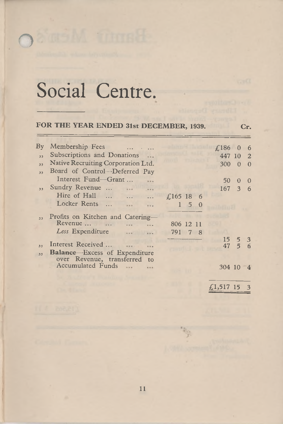# Social Centre.

o

#### FOR THE YEAR ENDED 31st DECEMBER, 1939. Cr.

| $\mathbf{B}\mathbf{v}$ | Membership Fees<br><b>Contractor</b>                                 |           |                   | £186             | $\overline{0}$  | 6              |
|------------------------|----------------------------------------------------------------------|-----------|-------------------|------------------|-----------------|----------------|
| 13                     | Subscriptions and Donations                                          |           |                   | 447 10           |                 | $\overline{2}$ |
| $\overline{33}$        | Native Recruiting Corporation Ltd.                                   |           |                   | 300              | $\theta$        | $\Omega$       |
| $\overline{11}$        | Board of Control-Deferred Pay                                        |           |                   |                  |                 |                |
|                        | Interest Fund-Grant                                                  |           |                   | 50               | $\degree$       | $\Omega$       |
| 33                     | Sundry Revenue<br>$\ddotsc$<br>                                      |           |                   | 167              | 3               | - 6            |
|                        | Hire of Hall<br>$\cdots$<br>$\ddotsc$<br>.                           | £165 18 6 |                   |                  |                 |                |
|                        | Locker Rents<br>1.1.1<br>                                            |           | $1\quad 5\quad 0$ |                  |                 |                |
|                        | Profits on Kitchen and Catering-                                     |           |                   |                  |                 |                |
|                        | Revenue<br>$\cdots$                                                  | 806 12 11 |                   |                  |                 |                |
|                        | Less Expenditure                                                     | 791       | 7 8               |                  |                 |                |
|                        | Interest Received                                                    |           |                   | 15 <sup>15</sup> | 5.              | -3             |
| 33                     |                                                                      |           |                   | 47               | $5\overline{)}$ | - 6            |
| 33                     | <b>Balance-Excess of Expenditure</b><br>over Revenue, transferred to |           |                   |                  |                 |                |
|                        | Accumulated Funds                                                    |           |                   | 304 10           |                 | $\frac{4}{ }$  |
|                        |                                                                      |           |                   |                  |                 |                |
|                        |                                                                      |           |                   | £1,517 15        |                 |                |
|                        |                                                                      |           |                   |                  |                 | $\overline{3}$ |

11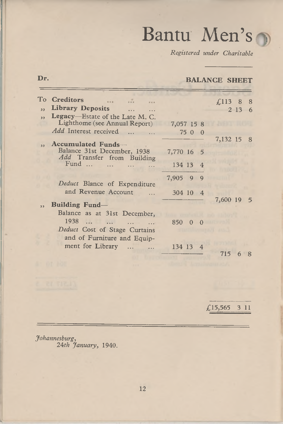# Bantu Men's

*Registered under Charitable*

### **Dr. BALANCE SHEET**

|                          | To Creditors<br>$\cdots$ $\cdots$<br>84.4                  |                  | $£113$ 8 8 |      |   |
|--------------------------|------------------------------------------------------------|------------------|------------|------|---|
| 53                       | Library Deposits<br>$\sim$                                 |                  |            | 2136 |   |
| $\overline{\phantom{a}}$ | Legacy-Estate of the Late M. C.                            |                  |            |      |   |
|                          | Lighthome (see Annual Report)                              | 7,057 15 8       |            |      |   |
|                          | Add Interest received                                      | 7500             |            |      |   |
| n n                      | Accumulated Funds-                                         |                  | 7,132 15 8 |      |   |
|                          | Balance 31st December, 1938                                | 7,770 16 5       |            |      |   |
|                          | Add Transfer from Building<br>$Fund$<br>$\sim$<br>$\cdots$ | 134 13 4         |            |      |   |
|                          | Deduct Blance of Expenditure                               | 7,905 9 9        |            |      |   |
|                          | and Revenue Account                                        | 304 10 4         | 7,600 19 5 |      |   |
| n.                       | <b>Building Fund</b> -                                     |                  |            |      |   |
|                          | Balance as at 31st December,                               |                  |            |      |   |
|                          | 1938                                                       | 8500<br>$\theta$ |            |      |   |
|                          | Deduct Cost of Stage Curtains                              |                  |            |      |   |
|                          | and of Furniture and Equip-                                |                  |            |      |   |
|                          | ment for Library                                           | 134 13 4         |            |      |   |
|                          |                                                            |                  | 715        |      | 8 |

£15,565 3 11

*Johannesburg,* 24 *th January,* 1940.

L,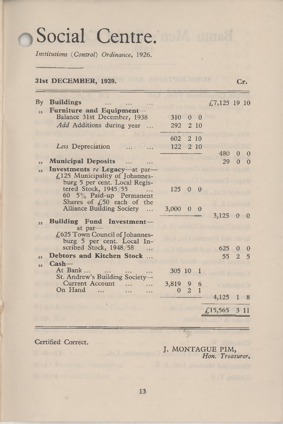# Social Centre.

*Institutions* (*Control*) *Ordinance,* 1926.

#### **31st DECEM BER, 1939. Cr.** By **B uildings** ............................. £7,125 19 10  $,$  **Furniture and Equipment-**Balance 31st December, 1938 310 0 0 *A dd* Additions during year ... 292 2 10 602 2 10 *Less* Depreciation ... 122 2 10 480 0 0 ,, Municipal Deposits 29 0 0  $\dddotsc$ **,, Investm ents** *re* **Legacy**—at par— £125 Municipality of Johannesburg 5 per cent. Local Registered Stock, 1945/55 ... 125 0 0 60 5% Paid-up Permanent Shares of  $£50$  each of the Alliance Building Society ... 3,000 0 0 3,125 0 0 **,, Building Fund Investment**at par-£625 Town Council of Johannesburg 5 per cent. Local In-<br>scribed Stock, 1948/58 625 0 0 **,, Debtors and Kitchen Stock ...** 55 2 5 **,, Cash—** At Bank ... 305 10 1 St. Andrew's Building Society— Current Account ... ... 3,819 9 6<br>n Hand 0 2 1 On Hand 4,125 1 8 £15,565 3 11

Certified Correct.

J. MONTAGUE PIM, *Hon. Treasurer.*